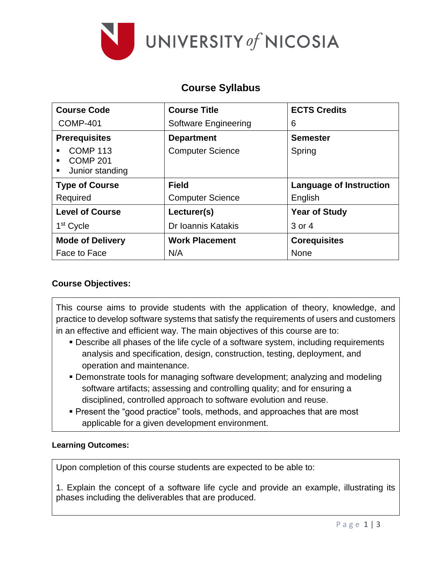

# **Course Syllabus**

| <b>Course Code</b>                                                   | <b>Course Title</b>     | <b>ECTS Credits</b>            |
|----------------------------------------------------------------------|-------------------------|--------------------------------|
| <b>COMP-401</b>                                                      | Software Engineering    | 6                              |
| <b>Prerequisites</b>                                                 | <b>Department</b>       | <b>Semester</b>                |
| <b>COMP 113</b><br>٠<br><b>COMP 201</b><br>٠<br>Junior standing<br>٠ | <b>Computer Science</b> | Spring                         |
| <b>Type of Course</b>                                                | <b>Field</b>            | <b>Language of Instruction</b> |
| Required                                                             | <b>Computer Science</b> | English                        |
| <b>Level of Course</b>                                               | Lecturer(s)             | <b>Year of Study</b>           |
| 1 <sup>st</sup> Cycle                                                | Dr Ioannis Katakis      | 3 or 4                         |
| <b>Mode of Delivery</b>                                              | <b>Work Placement</b>   | <b>Corequisites</b>            |
| Face to Face                                                         | N/A                     | None                           |

## **Course Objectives:**

This course aims to provide students with the application of theory, knowledge, and practice to develop software systems that satisfy the requirements of users and customers in an effective and efficient way. The main objectives of this course are to:

- Describe all phases of the life cycle of a software system, including requirements analysis and specification, design, construction, testing, deployment, and operation and maintenance.
- Demonstrate tools for managing software development; analyzing and modeling software artifacts; assessing and controlling quality; and for ensuring a disciplined, controlled approach to software evolution and reuse.
- Present the "good practice" tools, methods, and approaches that are most applicable for a given development environment.

### **Learning Outcomes:**

Upon completion of this course students are expected to be able to:

1. Explain the concept of a software life cycle and provide an example, illustrating its phases including the deliverables that are produced.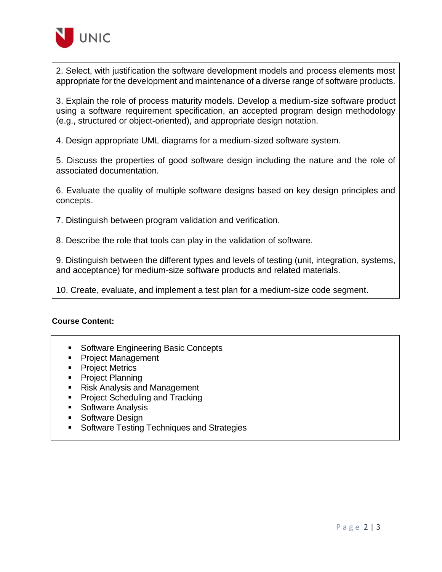

2. Select, with justification the software development models and process elements most appropriate for the development and maintenance of a diverse range of software products.

3. Explain the role of process maturity models. Develop a medium-size software product using a software requirement specification, an accepted program design methodology (e.g., structured or object-oriented), and appropriate design notation.

4. Design appropriate UML diagrams for a medium-sized software system.

5. Discuss the properties of good software design including the nature and the role of associated documentation.

6. Evaluate the quality of multiple software designs based on key design principles and concepts.

7. Distinguish between program validation and verification.

8. Describe the role that tools can play in the validation of software.

9. Distinguish between the different types and levels of testing (unit, integration, systems, and acceptance) for medium-size software products and related materials.

10. Create, evaluate, and implement a test plan for a medium-size code segment.

#### **Course Content:**

- **Software Engineering Basic Concepts**
- **Project Management**
- Project Metrics
- **Project Planning**
- Risk Analysis and Management
- **Project Scheduling and Tracking**
- **Software Analysis**
- Software Design
- **Software Testing Techniques and Strategies**